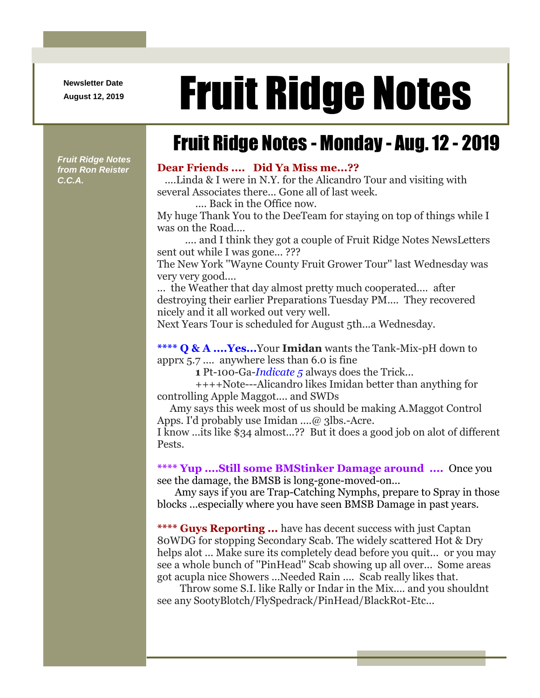**Newsletter Date**

# August 12, 2019 **Fruit Ridge Notes**

## Fruit Ridge Notes - Monday - Aug. 12 - 2019

*Fruit Ridge Notes from Ron Reister C.C.A.*

### **Dear Friends .... Did Ya Miss me...??**

....Linda & I were in N.Y. for the Alicandro Tour and visiting with several Associates there... Gone all of last week.

.... Back in the Office now.

My huge Thank You to the DeeTeam for staying on top of things while I was on the Road....

.... and I think they got a couple of Fruit Ridge Notes NewsLetters sent out while I was gone...???

The New York ''Wayne County Fruit Grower Tour'' last Wednesday was very very good....

... the Weather that day almost pretty much cooperated.... after destroying their earlier Preparations Tuesday PM.... They recovered nicely and it all worked out very well.

Next Years Tour is scheduled for August 5th...a Wednesday.

**\*\*\*\* Q & A ....Yes...**Your **Imidan** wants the Tank-Mix-pH down to apprx 5.7 .... anywhere less than 6.0 is fine

**1** Pt-100-Ga-*Indicate 5* always does the Trick...

++++Note---Alicandro likes Imidan better than anything for controlling Apple Maggot.... and SWDs

Amy says this week most of us should be making A.Maggot Control Apps. I'd probably use Imidan ....@ 3lbs.-Acre.

I know ...its like \$34 almost...?? But it does a good job on alot of different Pests.

**\*\*\*\* Yup ....Still some BMStinker Damage around ....** Once you see the damage, the BMSB is long-gone-moved-on...

Amy says if you are Trap-Catching Nymphs, prepare to Spray in those blocks ...especially where you have seen BMSB Damage in past years.

**\*\*\*\* Guys Reporting ...** have has decent success with just Captan 80WDG for stopping Secondary Scab. The widely scattered Hot & Dry helps alot ... Make sure its completely dead before you quit... or you may see a whole bunch of ''PinHead'' Scab showing up all over... Some areas got acupla nice Showers ...Needed Rain .... Scab really likes that.

Throw some S.I. like Rally or Indar in the Mix.... and you shouldnt see any SootyBlotch/FlySpedrack/PinHead/BlackRot-Etc...